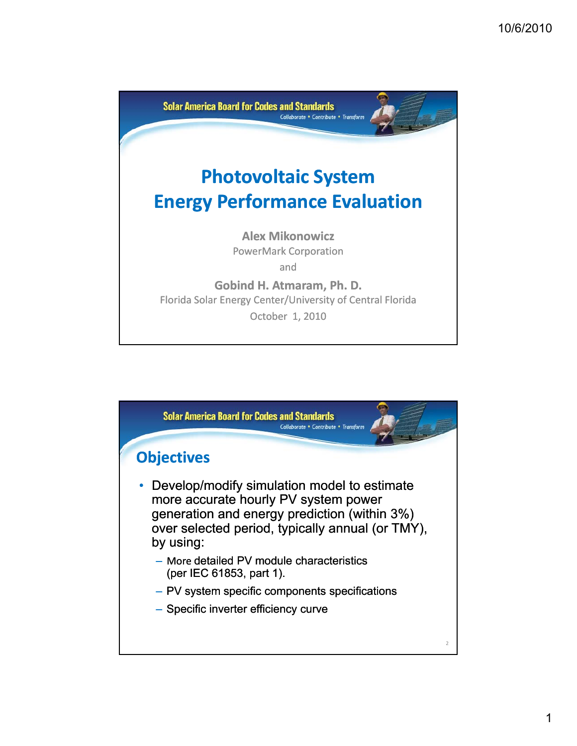

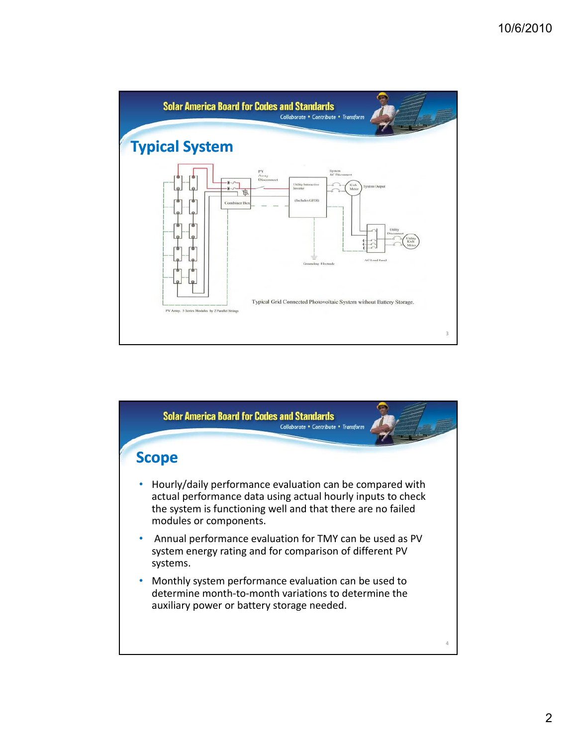

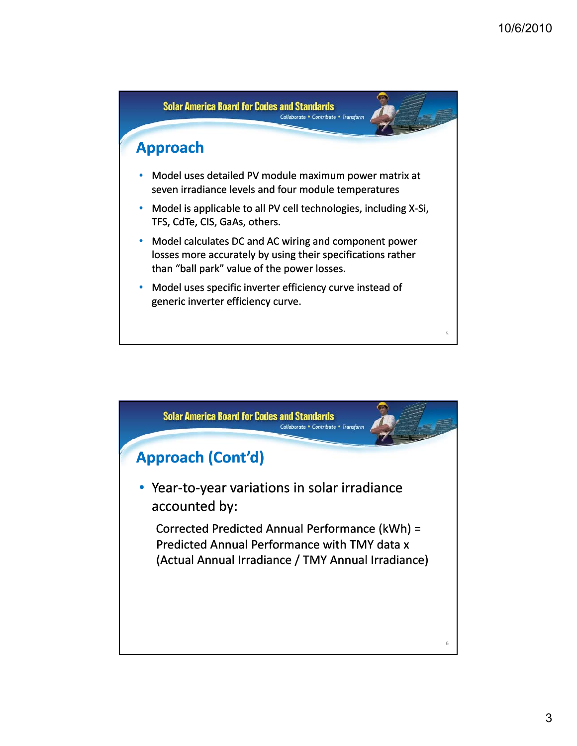

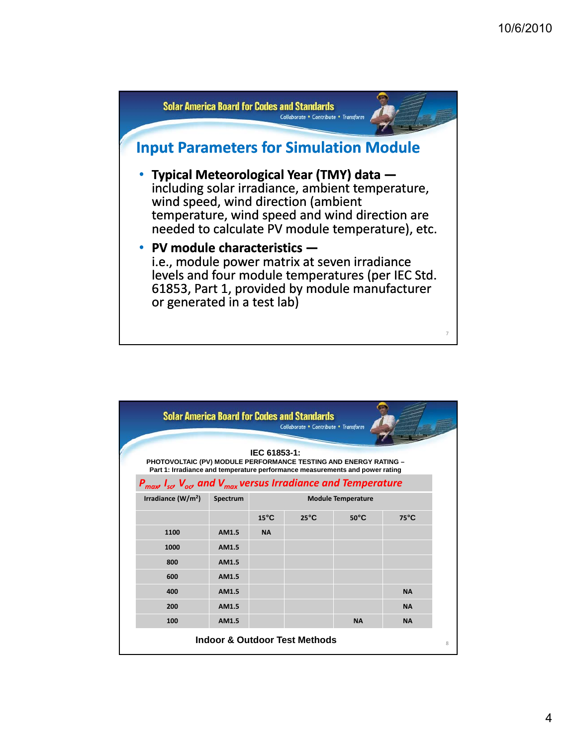

| <b>Solar America Board for Codes and Standards</b><br>Collaborate • Contribute • Transform<br>IEC 61853-1: |                                                                                                                                                         |          |                           |                |                |                |  |
|------------------------------------------------------------------------------------------------------------|---------------------------------------------------------------------------------------------------------------------------------------------------------|----------|---------------------------|----------------|----------------|----------------|--|
|                                                                                                            | <b>PHOTOVOLTAIC (PV) MODULE PERFORMANCE TESTING AND ENERGY RATING -</b><br>Part 1: Irradiance and temperature performance measurements and power rating |          |                           |                |                |                |  |
|                                                                                                            | $P_{max}$ I <sub>sa</sub> , V <sub>od</sub> , and V <sub>max</sub> versus Irradiance and Temperature                                                    |          |                           |                |                |                |  |
|                                                                                                            | Irradiance $(W/m2)$                                                                                                                                     | Spectrum | <b>Module Temperature</b> |                |                |                |  |
|                                                                                                            |                                                                                                                                                         |          | $15^{\circ}$ C            | $25^{\circ}$ C | $50^{\circ}$ C | $75^{\circ}$ C |  |
|                                                                                                            | 1100                                                                                                                                                    | AM1.5    | <b>NA</b>                 |                |                |                |  |
|                                                                                                            | 1000                                                                                                                                                    | AM1.5    |                           |                |                |                |  |
|                                                                                                            | 800                                                                                                                                                     | AM1.5    |                           |                |                |                |  |
|                                                                                                            | 600                                                                                                                                                     | AM1.5    |                           |                |                |                |  |
|                                                                                                            | 400                                                                                                                                                     | AM1.5    |                           |                |                | <b>NA</b>      |  |
|                                                                                                            | 200                                                                                                                                                     | AM1.5    |                           |                |                | <b>NA</b>      |  |
|                                                                                                            | 100                                                                                                                                                     | AM1.5    |                           |                | <b>NA</b>      | <b>NA</b>      |  |
| <b>Indoor &amp; Outdoor Test Methods</b>                                                                   |                                                                                                                                                         |          |                           |                |                |                |  |